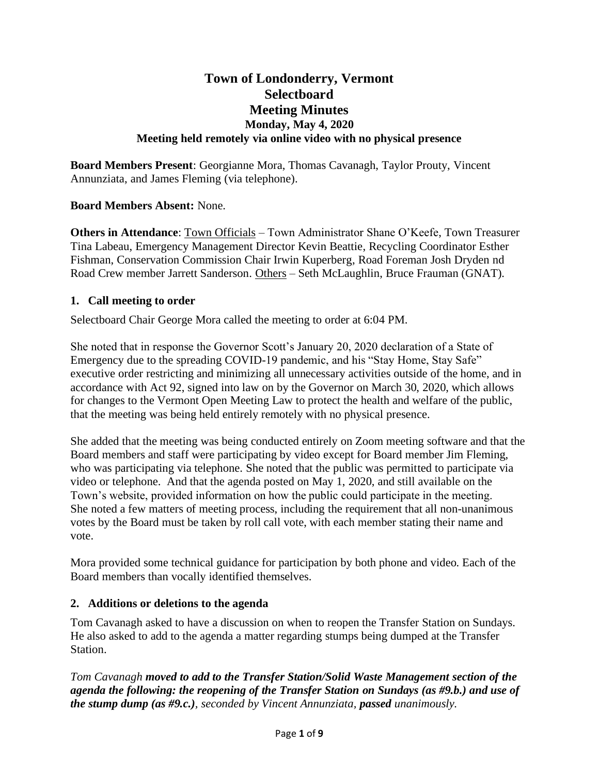# **Town of Londonderry, Vermont Selectboard Meeting Minutes Monday, May 4, 2020 Meeting held remotely via online video with no physical presence**

**Board Members Present**: Georgianne Mora, Thomas Cavanagh, Taylor Prouty, Vincent Annunziata, and James Fleming (via telephone).

## **Board Members Absent:** None.

**Others in Attendance**: Town Officials – Town Administrator Shane O'Keefe, Town Treasurer Tina Labeau, Emergency Management Director Kevin Beattie, Recycling Coordinator Esther Fishman, Conservation Commission Chair Irwin Kuperberg, Road Foreman Josh Dryden nd Road Crew member Jarrett Sanderson. Others – Seth McLaughlin, Bruce Frauman (GNAT).

#### **1. Call meeting to order**

Selectboard Chair George Mora called the meeting to order at 6:04 PM.

She noted that in response the Governor Scott's January 20, 2020 declaration of a State of Emergency due to the spreading COVID-19 pandemic, and his "Stay Home, Stay Safe" executive order restricting and minimizing all unnecessary activities outside of the home, and in accordance with Act 92, signed into law on by the Governor on March 30, 2020, which allows for changes to the Vermont Open Meeting Law to protect the health and welfare of the public, that the meeting was being held entirely remotely with no physical presence.

She added that the meeting was being conducted entirely on Zoom meeting software and that the Board members and staff were participating by video except for Board member Jim Fleming, who was participating via telephone. She noted that the public was permitted to participate via video or telephone. And that the agenda posted on May 1, 2020, and still available on the Town's website, provided information on how the public could participate in the meeting. She noted a few matters of meeting process, including the requirement that all non-unanimous votes by the Board must be taken by roll call vote, with each member stating their name and vote.

Mora provided some technical guidance for participation by both phone and video. Each of the Board members than vocally identified themselves.

#### **2. Additions or deletions to the agenda**

Tom Cavanagh asked to have a discussion on when to reopen the Transfer Station on Sundays. He also asked to add to the agenda a matter regarding stumps being dumped at the Transfer Station.

*Tom Cavanagh moved to add to the Transfer Station/Solid Waste Management section of the agenda the following: the reopening of the Transfer Station on Sundays (as #9.b.) and use of the stump dump (as #9.c.), seconded by Vincent Annunziata, passed unanimously.*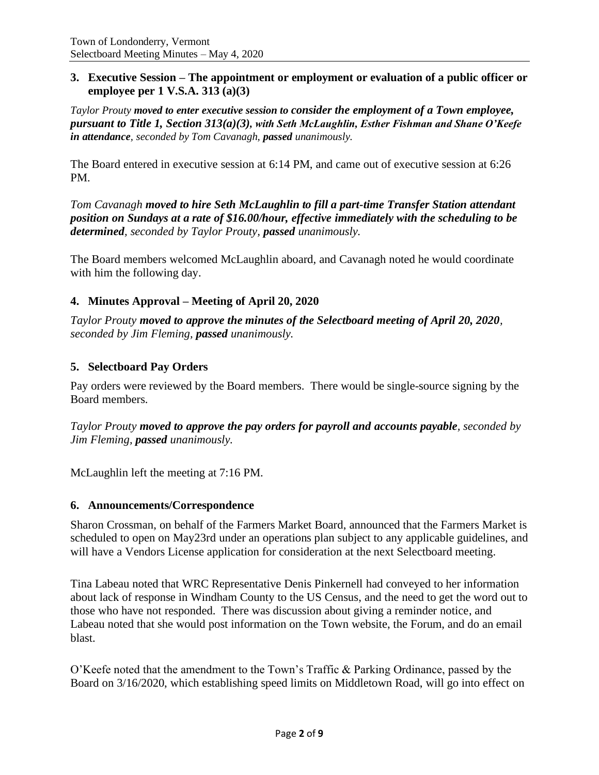### **3. Executive Session – The appointment or employment or evaluation of a public officer or employee per 1 V.S.A. 313 (a)(3)**

*Taylor Prouty moved to enter executive session to consider the employment of a Town employee, pursuant to Title 1, Section 313(a)(3), with Seth McLaughlin, Esther Fishman and Shane O'Keefe in attendance, seconded by Tom Cavanagh, passed unanimously.*

The Board entered in executive session at 6:14 PM, and came out of executive session at 6:26 PM.

*Tom Cavanagh moved to hire Seth McLaughlin to fill a part-time Transfer Station attendant position on Sundays at a rate of \$16.00/hour, effective immediately with the scheduling to be determined, seconded by Taylor Prouty, passed unanimously.*

The Board members welcomed McLaughlin aboard, and Cavanagh noted he would coordinate with him the following day.

## **4. Minutes Approval – Meeting of April 20, 2020**

*Taylor Prouty moved to approve the minutes of the Selectboard meeting of April 20, 2020, seconded by Jim Fleming, passed unanimously.*

# **5. Selectboard Pay Orders**

Pay orders were reviewed by the Board members. There would be single-source signing by the Board members.

*Taylor Prouty moved to approve the pay orders for payroll and accounts payable, seconded by Jim Fleming, passed unanimously.*

McLaughlin left the meeting at 7:16 PM.

#### **6. Announcements/Correspondence**

Sharon Crossman, on behalf of the Farmers Market Board, announced that the Farmers Market is scheduled to open on May23rd under an operations plan subject to any applicable guidelines, and will have a Vendors License application for consideration at the next Selectboard meeting.

Tina Labeau noted that WRC Representative Denis Pinkernell had conveyed to her information about lack of response in Windham County to the US Census, and the need to get the word out to those who have not responded. There was discussion about giving a reminder notice, and Labeau noted that she would post information on the Town website, the Forum, and do an email blast.

O'Keefe noted that the amendment to the Town's Traffic & Parking Ordinance, passed by the Board on 3/16/2020, which establishing speed limits on Middletown Road, will go into effect on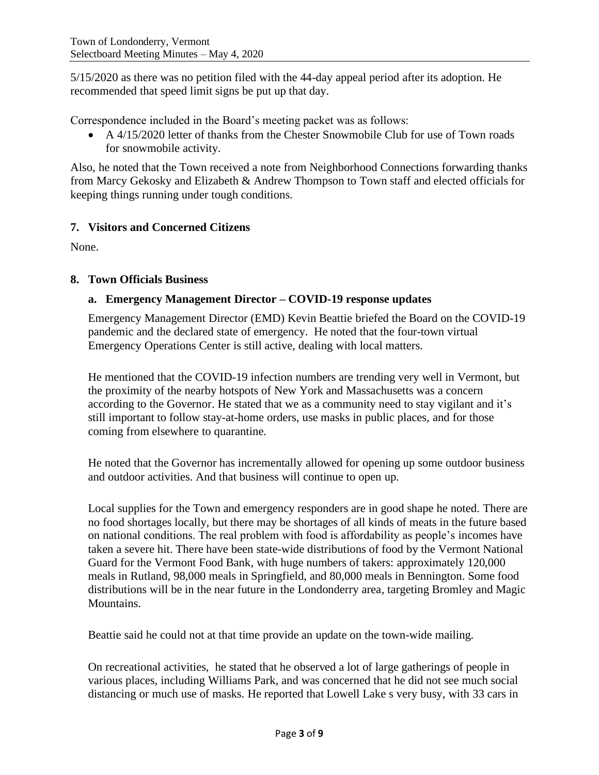5/15/2020 as there was no petition filed with the 44-day appeal period after its adoption. He recommended that speed limit signs be put up that day.

Correspondence included in the Board's meeting packet was as follows:

• A 4/15/2020 letter of thanks from the Chester Snowmobile Club for use of Town roads for snowmobile activity.

Also, he noted that the Town received a note from Neighborhood Connections forwarding thanks from Marcy Gekosky and Elizabeth & Andrew Thompson to Town staff and elected officials for keeping things running under tough conditions.

## **7. Visitors and Concerned Citizens**

None.

### **8. Town Officials Business**

### **a. Emergency Management Director – COVID-19 response updates**

Emergency Management Director (EMD) Kevin Beattie briefed the Board on the COVID-19 pandemic and the declared state of emergency. He noted that the four-town virtual Emergency Operations Center is still active, dealing with local matters.

He mentioned that the COVID-19 infection numbers are trending very well in Vermont, but the proximity of the nearby hotspots of New York and Massachusetts was a concern according to the Governor. He stated that we as a community need to stay vigilant and it's still important to follow stay-at-home orders, use masks in public places, and for those coming from elsewhere to quarantine.

He noted that the Governor has incrementally allowed for opening up some outdoor business and outdoor activities. And that business will continue to open up.

Local supplies for the Town and emergency responders are in good shape he noted. There are no food shortages locally, but there may be shortages of all kinds of meats in the future based on national conditions. The real problem with food is affordability as people's incomes have taken a severe hit. There have been state-wide distributions of food by the Vermont National Guard for the Vermont Food Bank, with huge numbers of takers: approximately 120,000 meals in Rutland, 98,000 meals in Springfield, and 80,000 meals in Bennington. Some food distributions will be in the near future in the Londonderry area, targeting Bromley and Magic Mountains.

Beattie said he could not at that time provide an update on the town-wide mailing.

On recreational activities, he stated that he observed a lot of large gatherings of people in various places, including Williams Park, and was concerned that he did not see much social distancing or much use of masks. He reported that Lowell Lake s very busy, with 33 cars in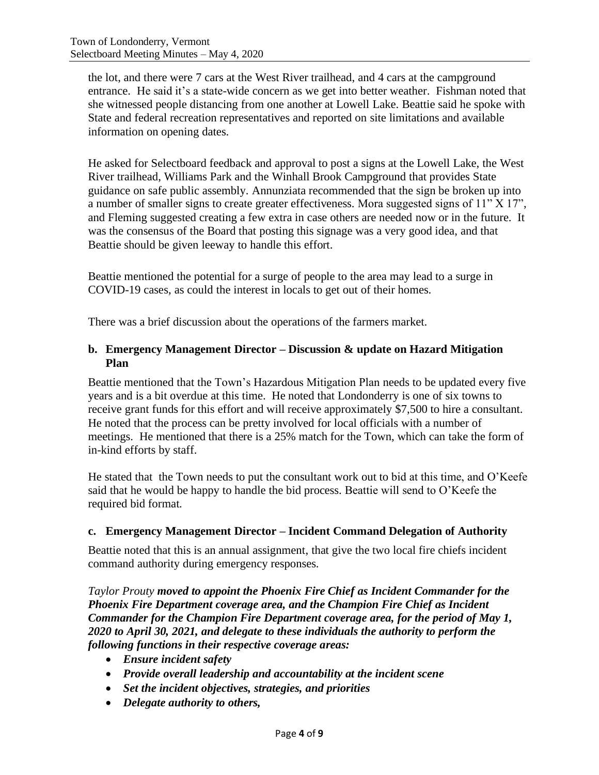the lot, and there were 7 cars at the West River trailhead, and 4 cars at the campground entrance. He said it's a state-wide concern as we get into better weather. Fishman noted that she witnessed people distancing from one another at Lowell Lake. Beattie said he spoke with State and federal recreation representatives and reported on site limitations and available information on opening dates.

He asked for Selectboard feedback and approval to post a signs at the Lowell Lake, the West River trailhead, Williams Park and the Winhall Brook Campground that provides State guidance on safe public assembly. Annunziata recommended that the sign be broken up into a number of smaller signs to create greater effectiveness. Mora suggested signs of 11" X 17", and Fleming suggested creating a few extra in case others are needed now or in the future. It was the consensus of the Board that posting this signage was a very good idea, and that Beattie should be given leeway to handle this effort.

Beattie mentioned the potential for a surge of people to the area may lead to a surge in COVID-19 cases, as could the interest in locals to get out of their homes.

There was a brief discussion about the operations of the farmers market.

## **b. Emergency Management Director – Discussion & update on Hazard Mitigation Plan**

Beattie mentioned that the Town's Hazardous Mitigation Plan needs to be updated every five years and is a bit overdue at this time. He noted that Londonderry is one of six towns to receive grant funds for this effort and will receive approximately \$7,500 to hire a consultant. He noted that the process can be pretty involved for local officials with a number of meetings. He mentioned that there is a 25% match for the Town, which can take the form of in-kind efforts by staff.

He stated that the Town needs to put the consultant work out to bid at this time, and O'Keefe said that he would be happy to handle the bid process. Beattie will send to O'Keefe the required bid format.

## **c. Emergency Management Director – Incident Command Delegation of Authority**

Beattie noted that this is an annual assignment, that give the two local fire chiefs incident command authority during emergency responses.

*Taylor Prouty moved to appoint the Phoenix Fire Chief as Incident Commander for the Phoenix Fire Department coverage area, and the Champion Fire Chief as Incident Commander for the Champion Fire Department coverage area, for the period of May 1, 2020 to April 30, 2021, and delegate to these individuals the authority to perform the following functions in their respective coverage areas:*

- *Ensure incident safety*
- *Provide overall leadership and accountability at the incident scene*
- *Set the incident objectives, strategies, and priorities*
- *Delegate authority to others,*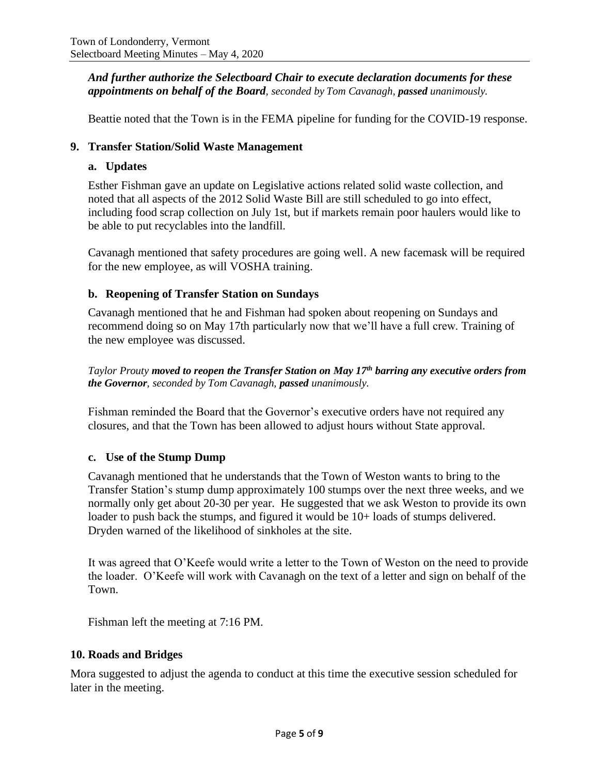*And further authorize the Selectboard Chair to execute declaration documents for these appointments on behalf of the Board, seconded by Tom Cavanagh, passed unanimously.*

Beattie noted that the Town is in the FEMA pipeline for funding for the COVID-19 response.

#### **9. Transfer Station/Solid Waste Management**

#### **a. Updates**

Esther Fishman gave an update on Legislative actions related solid waste collection, and noted that all aspects of the 2012 Solid Waste Bill are still scheduled to go into effect, including food scrap collection on July 1st, but if markets remain poor haulers would like to be able to put recyclables into the landfill.

Cavanagh mentioned that safety procedures are going well. A new facemask will be required for the new employee, as will VOSHA training.

### **b. Reopening of Transfer Station on Sundays**

Cavanagh mentioned that he and Fishman had spoken about reopening on Sundays and recommend doing so on May 17th particularly now that we'll have a full crew. Training of the new employee was discussed.

*Taylor Prouty moved to reopen the Transfer Station on May 17th barring any executive orders from the Governor, seconded by Tom Cavanagh, passed unanimously.*

Fishman reminded the Board that the Governor's executive orders have not required any closures, and that the Town has been allowed to adjust hours without State approval.

#### **c. Use of the Stump Dump**

Cavanagh mentioned that he understands that the Town of Weston wants to bring to the Transfer Station's stump dump approximately 100 stumps over the next three weeks, and we normally only get about 20-30 per year. He suggested that we ask Weston to provide its own loader to push back the stumps, and figured it would be 10+ loads of stumps delivered. Dryden warned of the likelihood of sinkholes at the site.

It was agreed that O'Keefe would write a letter to the Town of Weston on the need to provide the loader. O'Keefe will work with Cavanagh on the text of a letter and sign on behalf of the Town.

Fishman left the meeting at 7:16 PM.

#### **10. Roads and Bridges**

Mora suggested to adjust the agenda to conduct at this time the executive session scheduled for later in the meeting.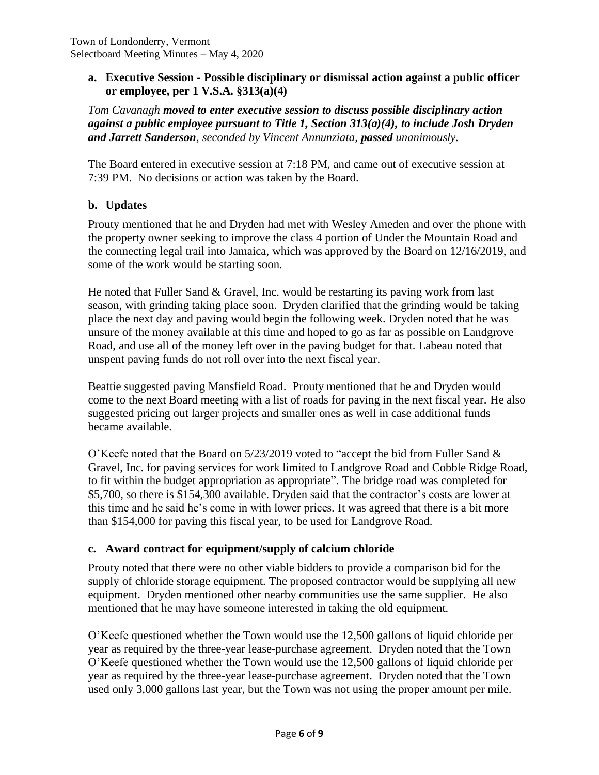### **a. Executive Session - Possible disciplinary or dismissal action against a public officer or employee, per 1 V.S.A. §313(a)(4)**

*Tom Cavanagh moved to enter executive session to discuss possible disciplinary action against a public employee pursuant to Title 1, Section 313(a)(4), to include Josh Dryden and Jarrett Sanderson, seconded by Vincent Annunziata, passed unanimously.*

The Board entered in executive session at 7:18 PM, and came out of executive session at 7:39 PM. No decisions or action was taken by the Board.

## **b. Updates**

Prouty mentioned that he and Dryden had met with Wesley Ameden and over the phone with the property owner seeking to improve the class 4 portion of Under the Mountain Road and the connecting legal trail into Jamaica, which was approved by the Board on 12/16/2019, and some of the work would be starting soon.

He noted that Fuller Sand  $\&$  Gravel, Inc. would be restarting its paving work from last season, with grinding taking place soon. Dryden clarified that the grinding would be taking place the next day and paving would begin the following week. Dryden noted that he was unsure of the money available at this time and hoped to go as far as possible on Landgrove Road, and use all of the money left over in the paving budget for that. Labeau noted that unspent paving funds do not roll over into the next fiscal year.

Beattie suggested paving Mansfield Road. Prouty mentioned that he and Dryden would come to the next Board meeting with a list of roads for paving in the next fiscal year. He also suggested pricing out larger projects and smaller ones as well in case additional funds became available.

O'Keefe noted that the Board on 5/23/2019 voted to "accept the bid from Fuller Sand & Gravel, Inc. for paving services for work limited to Landgrove Road and Cobble Ridge Road, to fit within the budget appropriation as appropriate". The bridge road was completed for \$5,700, so there is \$154,300 available. Dryden said that the contractor's costs are lower at this time and he said he's come in with lower prices. It was agreed that there is a bit more than \$154,000 for paving this fiscal year, to be used for Landgrove Road.

#### **c. Award contract for equipment/supply of calcium chloride**

Prouty noted that there were no other viable bidders to provide a comparison bid for the supply of chloride storage equipment. The proposed contractor would be supplying all new equipment. Dryden mentioned other nearby communities use the same supplier. He also mentioned that he may have someone interested in taking the old equipment.

O'Keefe questioned whether the Town would use the 12,500 gallons of liquid chloride per year as required by the three-year lease-purchase agreement. Dryden noted that the Town O'Keefe questioned whether the Town would use the 12,500 gallons of liquid chloride per year as required by the three-year lease-purchase agreement. Dryden noted that the Town used only 3,000 gallons last year, but the Town was not using the proper amount per mile.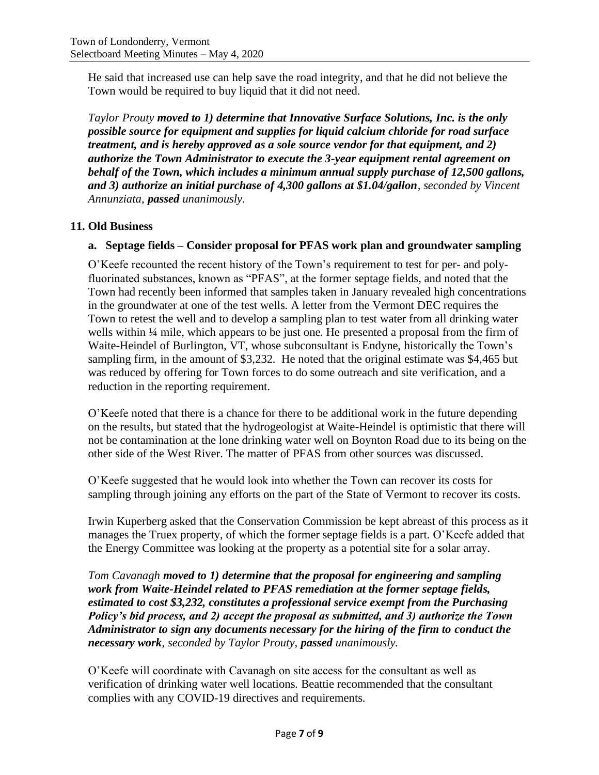He said that increased use can help save the road integrity, and that he did not believe the Town would be required to buy liquid that it did not need.

*Taylor Prouty moved to 1) determine that Innovative Surface Solutions, Inc. is the only possible source for equipment and supplies for liquid calcium chloride for road surface treatment, and is hereby approved as a sole source vendor for that equipment, and 2) authorize the Town Administrator to execute the 3-year equipment rental agreement on behalf of the Town, which includes a minimum annual supply purchase of 12,500 gallons, and 3) authorize an initial purchase of 4,300 gallons at \$1.04/gallon, seconded by Vincent Annunziata, passed unanimously.*

# **11. Old Business**

# **a. Septage fields – Consider proposal for PFAS work plan and groundwater sampling**

O'Keefe recounted the recent history of the Town's requirement to test for per- and polyfluorinated substances, known as "PFAS", at the former septage fields, and noted that the Town had recently been informed that samples taken in January revealed high concentrations in the groundwater at one of the test wells. A letter from the Vermont DEC requires the Town to retest the well and to develop a sampling plan to test water from all drinking water wells within ¼ mile, which appears to be just one. He presented a proposal from the firm of Waite-Heindel of Burlington, VT, whose subconsultant is Endyne, historically the Town's sampling firm, in the amount of \$3,232. He noted that the original estimate was \$4,465 but was reduced by offering for Town forces to do some outreach and site verification, and a reduction in the reporting requirement.

O'Keefe noted that there is a chance for there to be additional work in the future depending on the results, but stated that the hydrogeologist at Waite-Heindel is optimistic that there will not be contamination at the lone drinking water well on Boynton Road due to its being on the other side of the West River. The matter of PFAS from other sources was discussed.

O'Keefe suggested that he would look into whether the Town can recover its costs for sampling through joining any efforts on the part of the State of Vermont to recover its costs.

Irwin Kuperberg asked that the Conservation Commission be kept abreast of this process as it manages the Truex property, of which the former septage fields is a part. O'Keefe added that the Energy Committee was looking at the property as a potential site for a solar array.

*Tom Cavanagh moved to 1) determine that the proposal for engineering and sampling work from Waite-Heindel related to PFAS remediation at the former septage fields, estimated to cost \$3,232, constitutes a professional service exempt from the Purchasing Policy's bid process, and 2) accept the proposal as submitted, and 3) authorize the Town Administrator to sign any documents necessary for the hiring of the firm to conduct the necessary work, seconded by Taylor Prouty, passed unanimously.*

O'Keefe will coordinate with Cavanagh on site access for the consultant as well as verification of drinking water well locations. Beattie recommended that the consultant complies with any COVID-19 directives and requirements.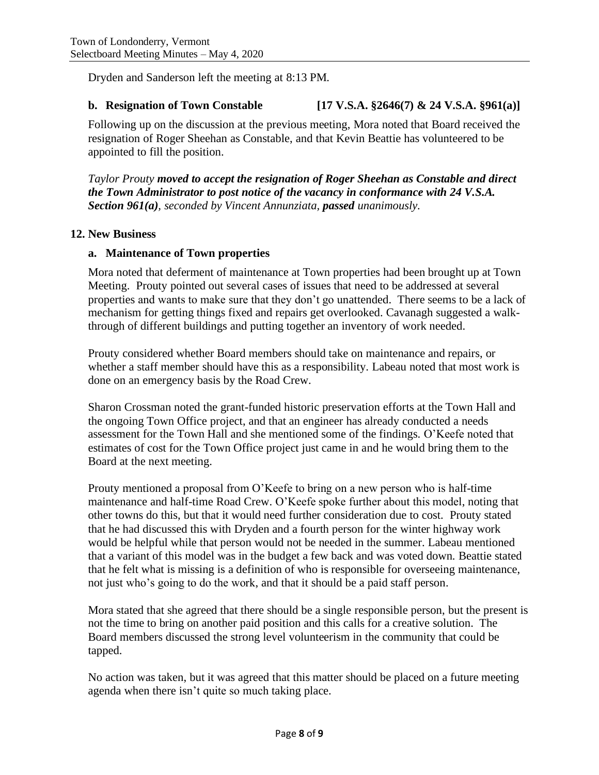Dryden and Sanderson left the meeting at 8:13 PM.

#### **b. Resignation of Town Constable [17 V.S.A. §2646(7) & 24 V.S.A. §961(a)]**

Following up on the discussion at the previous meeting, Mora noted that Board received the resignation of Roger Sheehan as Constable, and that Kevin Beattie has volunteered to be appointed to fill the position.

*Taylor Prouty moved to accept the resignation of Roger Sheehan as Constable and direct the Town Administrator to post notice of the vacancy in conformance with 24 V.S.A. Section 961(a), seconded by Vincent Annunziata, passed unanimously.*

### **12. New Business**

### **a. Maintenance of Town properties**

Mora noted that deferment of maintenance at Town properties had been brought up at Town Meeting. Prouty pointed out several cases of issues that need to be addressed at several properties and wants to make sure that they don't go unattended. There seems to be a lack of mechanism for getting things fixed and repairs get overlooked. Cavanagh suggested a walkthrough of different buildings and putting together an inventory of work needed.

Prouty considered whether Board members should take on maintenance and repairs, or whether a staff member should have this as a responsibility. Labeau noted that most work is done on an emergency basis by the Road Crew.

Sharon Crossman noted the grant-funded historic preservation efforts at the Town Hall and the ongoing Town Office project, and that an engineer has already conducted a needs assessment for the Town Hall and she mentioned some of the findings. O'Keefe noted that estimates of cost for the Town Office project just came in and he would bring them to the Board at the next meeting.

Prouty mentioned a proposal from O'Keefe to bring on a new person who is half-time maintenance and half-time Road Crew. O'Keefe spoke further about this model, noting that other towns do this, but that it would need further consideration due to cost. Prouty stated that he had discussed this with Dryden and a fourth person for the winter highway work would be helpful while that person would not be needed in the summer. Labeau mentioned that a variant of this model was in the budget a few back and was voted down. Beattie stated that he felt what is missing is a definition of who is responsible for overseeing maintenance, not just who's going to do the work, and that it should be a paid staff person.

Mora stated that she agreed that there should be a single responsible person, but the present is not the time to bring on another paid position and this calls for a creative solution. The Board members discussed the strong level volunteerism in the community that could be tapped.

No action was taken, but it was agreed that this matter should be placed on a future meeting agenda when there isn't quite so much taking place.